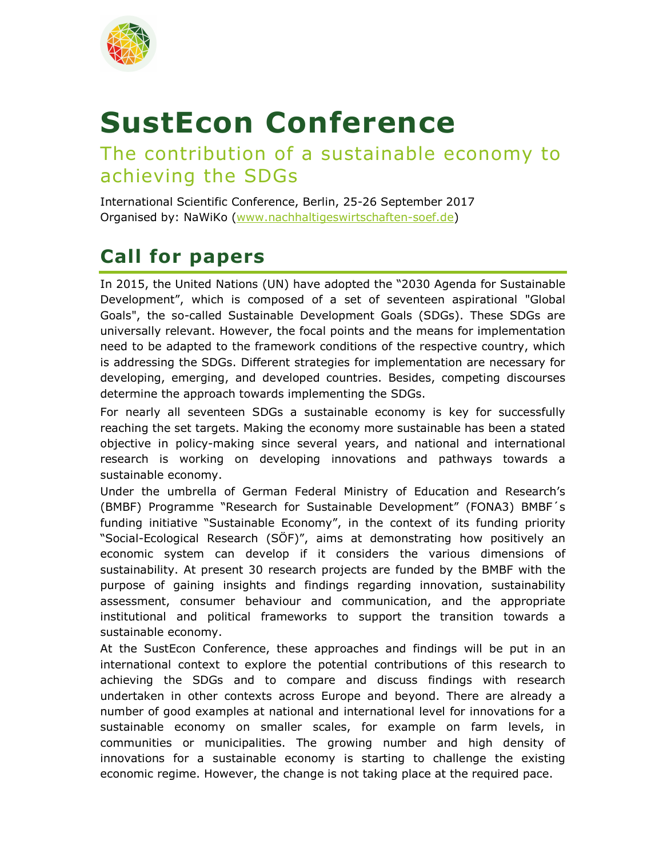

## **SustEcon Conference**

## The contribution of a sustainable economy to achieving the SDGs

International Scientific Conference, Berlin, 25-26 September 2017 Organised by: NaWiKo (www.nachhaltigeswirtschaften-soef.de)

## **Call for papers**

In 2015, the United Nations (UN) have adopted the "2030 Agenda for Sustainable Development", which is composed of a set of seventeen aspirational "Global Goals", the so-called Sustainable Development Goals (SDGs). These SDGs are universally relevant. However, the focal points and the means for implementation need to be adapted to the framework conditions of the respective country, which is addressing the SDGs. Different strategies for implementation are necessary for developing, emerging, and developed countries. Besides, competing discourses determine the approach towards implementing the SDGs.

For nearly all seventeen SDGs a sustainable economy is key for successfully reaching the set targets. Making the economy more sustainable has been a stated objective in policy-making since several years, and national and international research is working on developing innovations and pathways towards a sustainable economy.

Under the umbrella of German Federal Ministry of Education and Research's (BMBF) Programme "Research for Sustainable Development" (FONA3) BMBF´s funding initiative "Sustainable Economy", in the context of its funding priority "Social-Ecological Research (SÖF)", aims at demonstrating how positively an economic system can develop if it considers the various dimensions of sustainability. At present 30 research projects are funded by the BMBF with the purpose of gaining insights and findings regarding innovation, sustainability assessment, consumer behaviour and communication, and the appropriate institutional and political frameworks to support the transition towards a sustainable economy.

At the SustEcon Conference, these approaches and findings will be put in an international context to explore the potential contributions of this research to achieving the SDGs and to compare and discuss findings with research undertaken in other contexts across Europe and beyond. There are already a number of good examples at national and international level for innovations for a sustainable economy on smaller scales, for example on farm levels, in communities or municipalities. The growing number and high density of innovations for a sustainable economy is starting to challenge the existing economic regime. However, the change is not taking place at the required pace.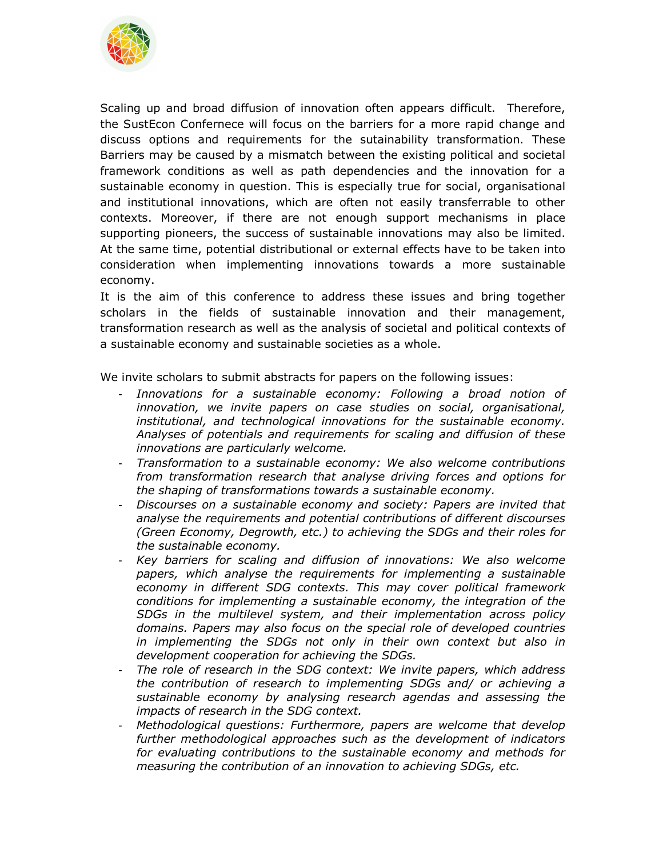

Scaling up and broad diffusion of innovation often appears difficult. Therefore, the SustEcon Confernece will focus on the barriers for a more rapid change and discuss options and requirements for the sutainability transformation. These Barriers may be caused by a mismatch between the existing political and societal framework conditions as well as path dependencies and the innovation for a sustainable economy in question. This is especially true for social, organisational and institutional innovations, which are often not easily transferrable to other contexts. Moreover, if there are not enough support mechanisms in place supporting pioneers, the success of sustainable innovations may also be limited. At the same time, potential distributional or external effects have to be taken into consideration when implementing innovations towards a more sustainable economy.

It is the aim of this conference to address these issues and bring together scholars in the fields of sustainable innovation and their management, transformation research as well as the analysis of societal and political contexts of a sustainable economy and sustainable societies as a whole.

We invite scholars to submit abstracts for papers on the following issues:

- *Innovations for a sustainable economy: Following a broad notion of innovation, we invite papers on case studies on social, organisational, institutional, and technological innovations for the sustainable economy. Analyses of potentials and requirements for scaling and diffusion of these innovations are particularly welcome.*
- *Transformation to a sustainable economy: We also welcome contributions from transformation research that analyse driving forces and options for the shaping of transformations towards a sustainable economy.*
- *Discourses on a sustainable economy and society: Papers are invited that analyse the requirements and potential contributions of different discourses (Green Economy, Degrowth, etc.) to achieving the SDGs and their roles for the sustainable economy.*
- *Key barriers for scaling and diffusion of innovations: We also welcome papers, which analyse the requirements for implementing a sustainable economy in different SDG contexts. This may cover political framework conditions for implementing a sustainable economy, the integration of the SDGs in the multilevel system, and their implementation across policy domains. Papers may also focus on the special role of developed countries in implementing the SDGs not only in their own context but also in development cooperation for achieving the SDGs.*
- *The role of research in the SDG context: We invite papers, which address the contribution of research to implementing SDGs and/ or achieving a sustainable economy by analysing research agendas and assessing the impacts of research in the SDG context.*
- *Methodological questions: Furthermore, papers are welcome that develop further methodological approaches such as the development of indicators for evaluating contributions to the sustainable economy and methods for measuring the contribution of an innovation to achieving SDGs, etc.*